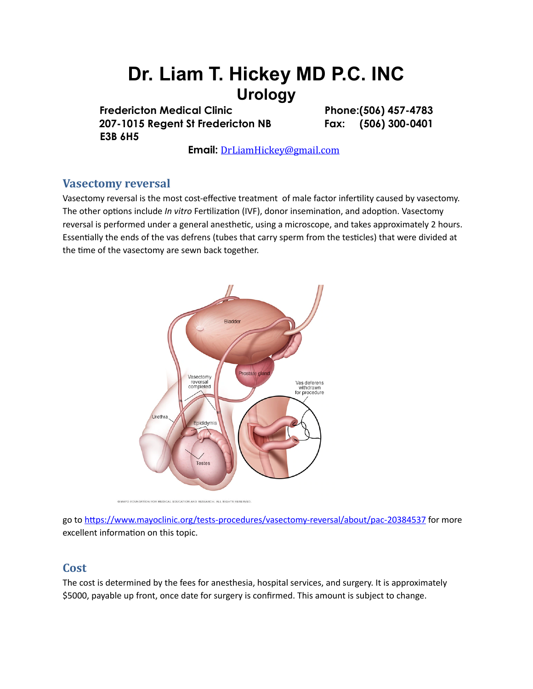# **Dr. Liam T. Hickey MD P.C. INC Urology**

Fredericton Medical Clinic **Phone:**(506) 457-4783 **207-1015 Regent St Fredericton NB Fax: (506) 300-0401 E3B 6H5** 

 **Email:** [DrLiamHickey@gmail.com](mailto:DrLiamHickey@gmail.com)

## **Vasectomy reversal**

Vasectomy reversal is the most cost-effective treatment of male factor infertility caused by vasectomy. The other options include *In vitro* Fertilization (IVF), donor insemination, and adoption. Vasectomy reversal is performed under a general anesthetic, using a microscope, and takes approximately 2 hours. Essentially the ends of the vas defrens (tubes that carry sperm from the testicles) that were divided at the time of the vasectomy are sewn back together.



@ MAYO FOUNDATION FOR MEDICAL EDUCATION AND RESEARCH. ALL RIGHTS RESERVED.

go to https://www.mayoclinic.org/tests-procedures/vasectomy-reversal/about/pac-20384537 for more excellent information on this topic.

### **Cost**

The cost is determined by the fees for anesthesia, hospital services, and surgery. It is approximately \$5000, payable up front, once date for surgery is confirmed. This amount is subject to change.